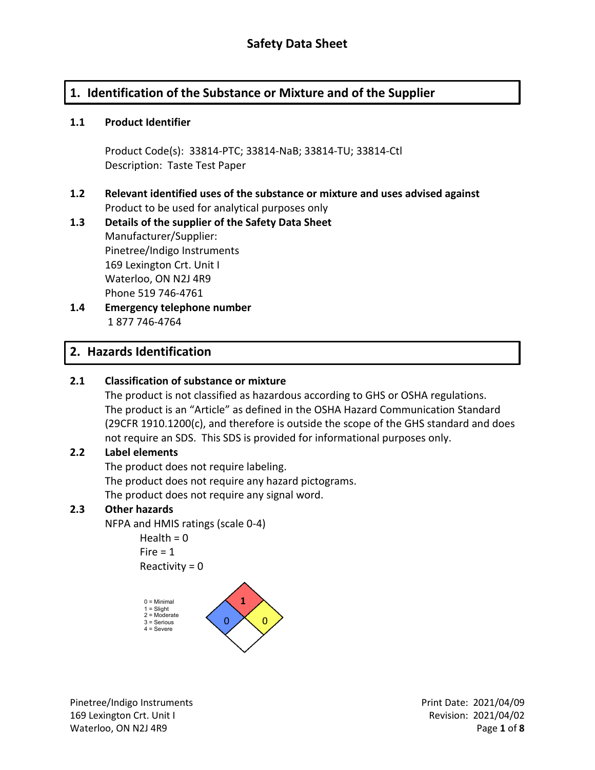# **1. Identification of the Substance or Mixture and of the Supplier**

### **1.1 Product Identifier**

Product Code(s): 33814-PTC; 33814-NaB; 33814-TU; 33814-Ctl Description: Taste Test Paper

### **1.2 Relevant identified uses of the substance or mixture and uses advised against** Product to be used for analytical purposes only

## **1.3 Details of the supplier of the Safety Data Sheet** Manufacturer/Supplier: Pinetree/Indigo Instruments 169 Lexington Crt. Unit I Waterloo, ON N2J 4R9 Phone 519 746-4761

**1.4 Emergency telephone number** 1 877 746-4764

# **2. Hazards Identification**

## **2.1 Classification of substance or mixture**

The product is not classified as hazardous according to GHS or OSHA regulations. The product is an "Article" as defined in the OSHA Hazard Communication Standard (29CFR 1910.1200(c), and therefore is outside the scope of the GHS standard and does not require an SDS. This SDS is provided for informational purposes only.

### **2.2 Label elements**

The product does not require labeling. The product does not require any hazard pictograms. The product does not require any signal word.

### **2.3 Other hazards**

NFPA and HMIS ratings (scale 0-4)

Health  $= 0$  $Fire = 1$ Reactivity  $= 0$ 



Pinetree/Indigo Instruments **Prince** Print Date: 2021/04/09 169 Lexington Crt. Unit I Revision: 2021/04/02 Waterloo, ON N2J 4R9 **Page 1** of **8**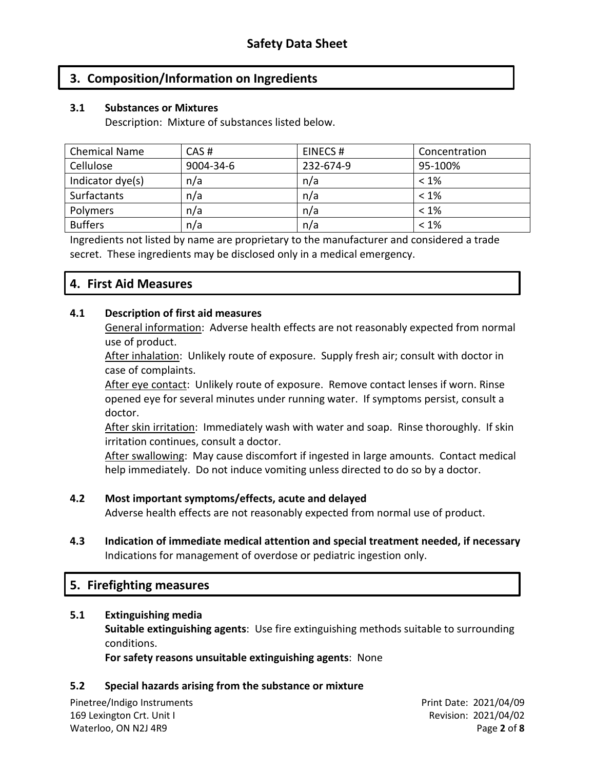## **3. Composition/Information on Ingredients**

### **3.1 Substances or Mixtures**

Description: Mixture of substances listed below.

| <b>Chemical Name</b> | CAS#      | EINECS#   | Concentration |
|----------------------|-----------|-----------|---------------|
| Cellulose            | 9004-34-6 | 232-674-9 | 95-100%       |
| Indicator dye(s)     | n/a       | n/a       | $< 1\%$       |
| <b>Surfactants</b>   | n/a       | n/a       | $< 1\%$       |
| <b>Polymers</b>      | n/a       | n/a       | $< 1\%$       |
| <b>Buffers</b>       | n/a       | n/a       | $< 1\%$       |

Ingredients not listed by name are proprietary to the manufacturer and considered a trade secret. These ingredients may be disclosed only in a medical emergency.

## **4. First Aid Measures**

### **4.1 Description of first aid measures**

General information: Adverse health effects are not reasonably expected from normal use of product.

After inhalation: Unlikely route of exposure. Supply fresh air; consult with doctor in case of complaints.

After eye contact: Unlikely route of exposure. Remove contact lenses if worn. Rinse opened eye for several minutes under running water. If symptoms persist, consult a doctor.

After skin irritation: Immediately wash with water and soap. Rinse thoroughly. If skin irritation continues, consult a doctor.

After swallowing: May cause discomfort if ingested in large amounts. Contact medical help immediately. Do not induce vomiting unless directed to do so by a doctor.

### **4.2 Most important symptoms/effects, acute and delayed**

Adverse health effects are not reasonably expected from normal use of product.

**4.3 Indication of immediate medical attention and special treatment needed, if necessary** Indications for management of overdose or pediatric ingestion only.

## **5. Firefighting measures**

#### **5.1 Extinguishing media**

**Suitable extinguishing agents**: Use fire extinguishing methods suitable to surrounding conditions.

**For safety reasons unsuitable extinguishing agents**: None

### **5.2 Special hazards arising from the substance or mixture**

Pinetree/Indigo Instruments **Prince** Print Date: 2021/04/09 169 Lexington Crt. Unit I Revision: 2021/04/02 Waterloo, ON N2J 4R9 **Page 2** of **8**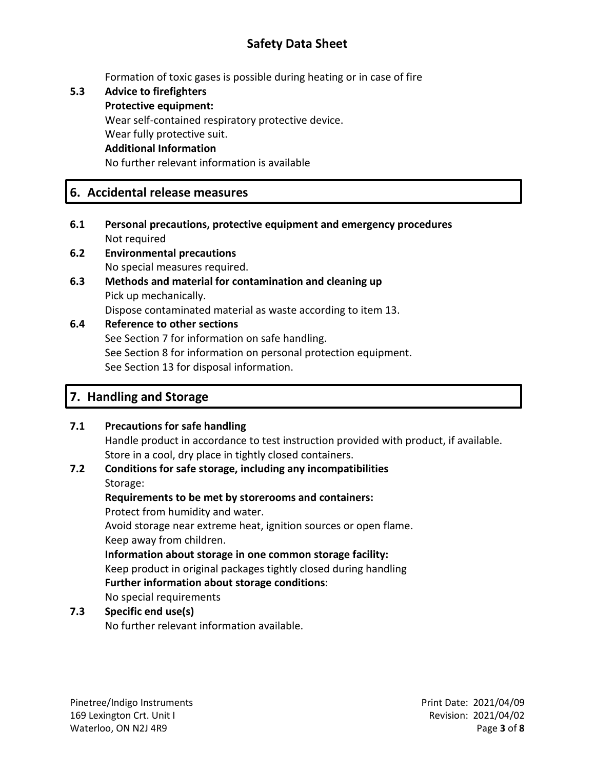# **Safety Data Sheet**

Formation of toxic gases is possible during heating or in case of fire

**5.3 Advice to firefighters Protective equipment:** Wear self-contained respiratory protective device. Wear fully protective suit. **Additional Information** No further relevant information is available

## **6. Accidental release measures**

- **6.1 Personal precautions, protective equipment and emergency procedures** Not required
- **6.2 Environmental precautions** No special measures required.
- **6.3 Methods and material for contamination and cleaning up** Pick up mechanically. Dispose contaminated material as waste according to item 13.

### **6.4 Reference to other sections** See Section 7 for information on safe handling. See Section 8 for information on personal protection equipment. See Section 13 for disposal information.

# **7. Handling and Storage**

## **7.1 Precautions for safe handling**

Handle product in accordance to test instruction provided with product, if available. Store in a cool, dry place in tightly closed containers.

## **7.2 Conditions for safe storage, including any incompatibilities** Storage:

**Requirements to be met by storerooms and containers:** Protect from humidity and water. Avoid storage near extreme heat, ignition sources or open flame. Keep away from children. **Information about storage in one common storage facility:** Keep product in original packages tightly closed during handling **Further information about storage conditions**: No special requirements

### **7.3 Specific end use(s)**

No further relevant information available.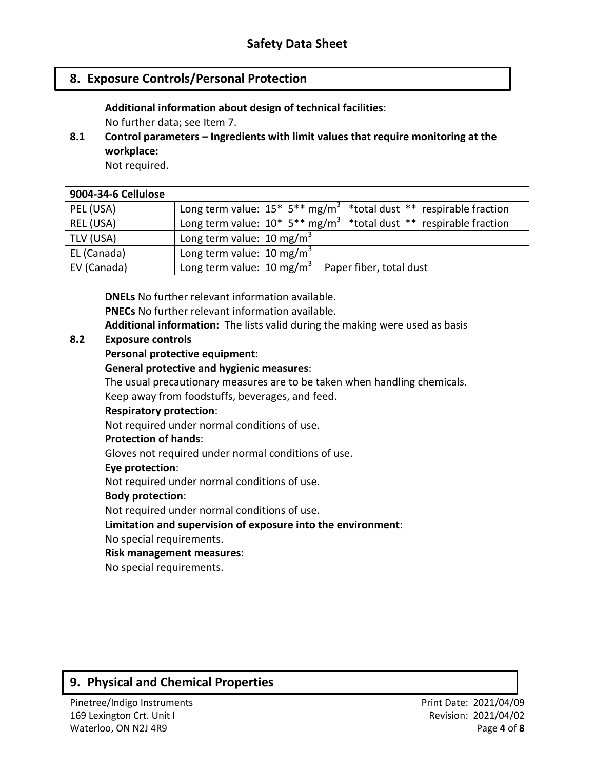## **8. Exposure Controls/Personal Protection**

**Additional information about design of technical facilities**:

No further data; see Item 7.

**8.1 Control parameters – Ingredients with limit values that require monitoring at the workplace:**

Not required.

| 9004-34-6 Cellulose |                                                                                              |
|---------------------|----------------------------------------------------------------------------------------------|
| PEL (USA)           | Long term value: $15* 5** mg/m^3$ *total dust ** respirable fraction                         |
| REL (USA)           | Long term value: $10^*$ 5 <sup>**</sup> mg/m <sup>3</sup> *total dust ** respirable fraction |
| TLV (USA)           | Long term value: $10 \text{ mg/m}^3$                                                         |
| EL (Canada)         | Long term value: $10 \text{ mg/m}^3$                                                         |
| EV (Canada)         | Long term value: $10 \text{ mg/m}^3$<br>Paper fiber, total dust                              |

**DNELs** No further relevant information available. **PNECs** No further relevant information available. **Additional information:** The lists valid during the making were used as basis

### **8.2 Exposure controls**

### **Personal protective equipment**:

#### **General protective and hygienic measures**:

The usual precautionary measures are to be taken when handling chemicals.

Keep away from foodstuffs, beverages, and feed.

#### **Respiratory protection**:

Not required under normal conditions of use.

#### **Protection of hands**:

Gloves not required under normal conditions of use.

#### **Eye protection**:

Not required under normal conditions of use.

#### **Body protection**:

Not required under normal conditions of use.

### **Limitation and supervision of exposure into the environment**:

No special requirements.

### **Risk management measures**:

No special requirements.

# **9. Physical and Chemical Properties**

169 Lexington Crt. Unit I and the control of the Revision: 2021/04/02 Waterloo, ON N2J 4R9 **Page 4** of **8**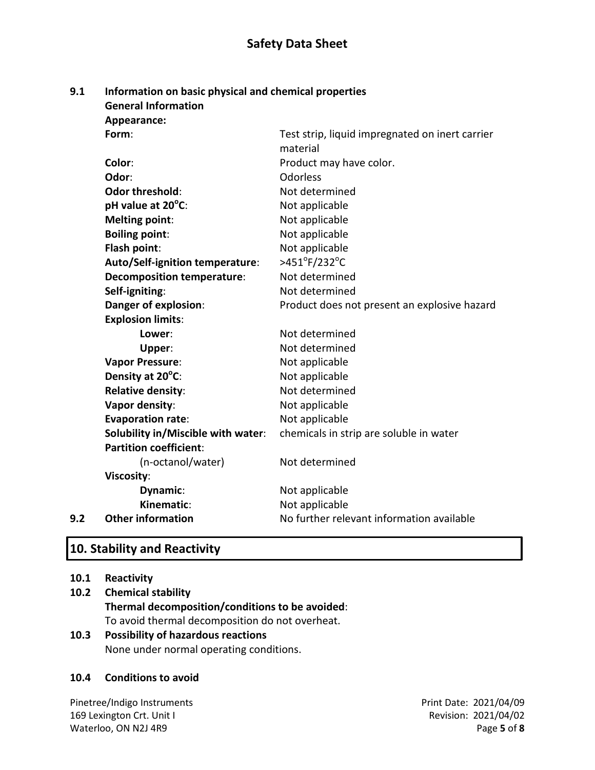## **Safety Data Sheet**

#### **9.1 Information on basic physical and chemical properties General Information**

**Appearance:**

|     | Form:                              | Test strip, liquid impregnated on inert carrier<br>material |
|-----|------------------------------------|-------------------------------------------------------------|
|     | Color:                             | Product may have color.                                     |
|     | Odor:                              | <b>Odorless</b>                                             |
|     | <b>Odor threshold:</b>             | Not determined                                              |
|     | pH value at 20°C:                  | Not applicable                                              |
|     | <b>Melting point:</b>              | Not applicable                                              |
|     | <b>Boiling point:</b>              | Not applicable                                              |
|     | Flash point:                       | Not applicable                                              |
|     | Auto/Self-ignition temperature:    | >451°F/232°C                                                |
|     | <b>Decomposition temperature:</b>  | Not determined                                              |
|     | Self-igniting:                     | Not determined                                              |
|     | Danger of explosion:               | Product does not present an explosive hazard                |
|     | <b>Explosion limits:</b>           |                                                             |
|     | Lower:                             | Not determined                                              |
|     | Upper:                             | Not determined                                              |
|     | <b>Vapor Pressure:</b>             | Not applicable                                              |
|     | Density at 20°C:                   | Not applicable                                              |
|     | Relative density:                  | Not determined                                              |
|     | Vapor density:                     | Not applicable                                              |
|     | <b>Evaporation rate:</b>           | Not applicable                                              |
|     | Solubility in/Miscible with water: | chemicals in strip are soluble in water                     |
|     | <b>Partition coefficient:</b>      |                                                             |
|     | (n-octanol/water)                  | Not determined                                              |
|     | <b>Viscosity:</b>                  |                                                             |
|     | Dynamic:                           | Not applicable                                              |
|     | Kinematic:                         | Not applicable                                              |
| 9.2 | <b>Other information</b>           | No further relevant information available                   |
|     |                                    |                                                             |

# **10. Stability and Reactivity**

- **10.1 Reactivity**
- **10.2 Chemical stability Thermal decomposition/conditions to be avoided**: To avoid thermal decomposition do not overheat.

### **10.3 Possibility of hazardous reactions** None under normal operating conditions.

### **10.4 Conditions to avoid**

Pinetree/Indigo Instruments **Prince** Print Date: 2021/04/09 169 Lexington Crt. Unit I and the control of the Revision: 2021/04/02 Waterloo, ON N2J 4R9 Page 5 of 8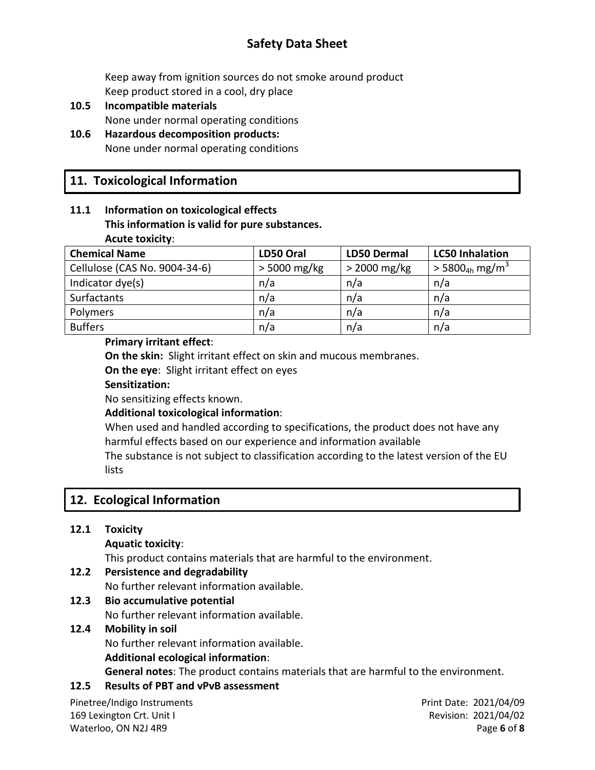# **Safety Data Sheet**

Keep away from ignition sources do not smoke around product Keep product stored in a cool, dry place

- **10.5 Incompatible materials** None under normal operating conditions
- **10.6 Hazardous decomposition products:** None under normal operating conditions

# **11. Toxicological Information**

### **11.1 Information on toxicological effects This information is valid for pure substances. Acute toxicity**:

| <b>Chemical Name</b>          | LD50 Oral      | <b>LD50 Dermal</b> | <b>LC50 Inhalation</b>                   |
|-------------------------------|----------------|--------------------|------------------------------------------|
| Cellulose (CAS No. 9004-34-6) | $>$ 5000 mg/kg | $>$ 2000 mg/kg     | $>$ 5800 <sub>4h</sub> mg/m <sup>3</sup> |
| Indicator dye(s)              | n/a            | n/a                | n/a                                      |
| <b>Surfactants</b>            | n/a            | n/a                | n/a                                      |
| Polymers                      | n/a            | n/a                | n/a                                      |
| <b>Buffers</b>                | n/a            | n/a                | n/a                                      |

### **Primary irritant effect**:

**On the skin:** Slight irritant effect on skin and mucous membranes.

**On the eye**: Slight irritant effect on eyes

### **Sensitization:**

No sensitizing effects known.

## **Additional toxicological information**:

When used and handled according to specifications, the product does not have any harmful effects based on our experience and information available

The substance is not subject to classification according to the latest version of the EU **lists** 

# **12. Ecological Information**

## **12.1 Toxicity**

**Aquatic toxicity**:

This product contains materials that are harmful to the environment.

**12.2 Persistence and degradability**

No further relevant information available.

## **12.3 Bio accumulative potential**

No further relevant information available.

## **12.4 Mobility in soil**

No further relevant information available.

### **Additional ecological information**:

**General notes**: The product contains materials that are harmful to the environment.

## **12.5 Results of PBT and vPvB assessment**

Pinetree/Indigo Instruments **Prince** Print Date: 2021/04/09 169 Lexington Crt. Unit I Revision: 2021/04/02 Waterloo, ON N2J 4R9 **Page 6** of **8**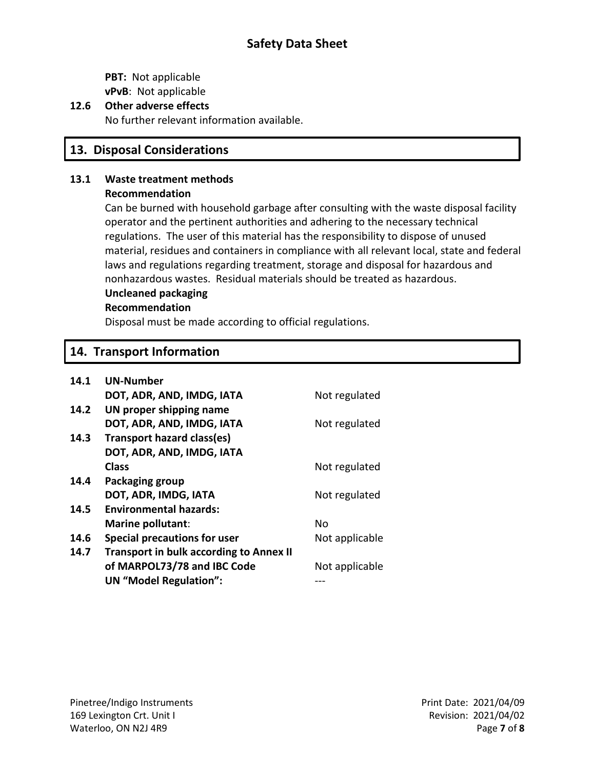**PBT:** Not applicable **vPvB**: Not applicable

## **12.6 Other adverse effects**

No further relevant information available.

## **13. Disposal Considerations**

### **13.1 Waste treatment methods**

### **Recommendation**

Can be burned with household garbage after consulting with the waste disposal facility operator and the pertinent authorities and adhering to the necessary technical regulations. The user of this material has the responsibility to dispose of unused material, residues and containers in compliance with all relevant local, state and federal laws and regulations regarding treatment, storage and disposal for hazardous and nonhazardous wastes. Residual materials should be treated as hazardous.

### **Uncleaned packaging**

### **Recommendation**

Disposal must be made according to official regulations.

# **14. Transport Information**

| 14.1 | <b>UN-Number</b>                               |                |
|------|------------------------------------------------|----------------|
|      | DOT, ADR, AND, IMDG, IATA                      | Not regulated  |
| 14.2 | UN proper shipping name                        |                |
|      | DOT, ADR, AND, IMDG, IATA                      | Not regulated  |
| 14.3 | <b>Transport hazard class(es)</b>              |                |
|      | DOT, ADR, AND, IMDG, IATA                      |                |
|      | <b>Class</b>                                   | Not regulated  |
| 14.4 | Packaging group                                |                |
|      | DOT, ADR, IMDG, IATA                           | Not regulated  |
| 14.5 | <b>Environmental hazards:</b>                  |                |
|      | Marine pollutant:                              | No             |
| 14.6 | <b>Special precautions for user</b>            | Not applicable |
| 14.7 | <b>Transport in bulk according to Annex II</b> |                |
|      | of MARPOL73/78 and IBC Code                    | Not applicable |
|      | <b>UN</b> "Model Regulation":                  |                |
|      |                                                |                |